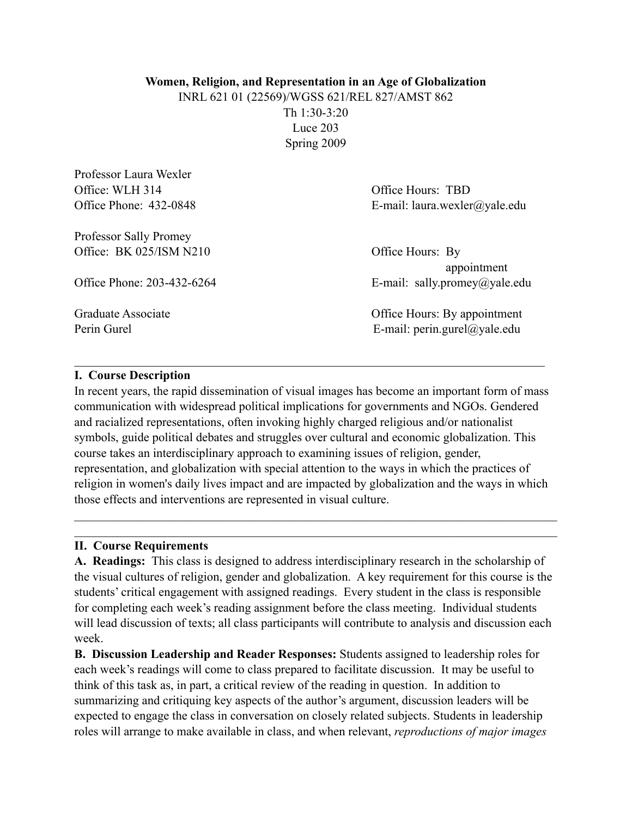### **Women, Religion, and Representation in an Age of Globalization**

INRL 621 01 (22569)/WGSS 621/REL 827/AMST 862 Th 1:30-3:20 Luce 203 Spring 2009

| Office: WLH 314            | Office Hours: TBD               |  |
|----------------------------|---------------------------------|--|
| Office Phone: 432-0848     | E-mail: laura.wexler@yale.edu   |  |
| Professor Sally Promey     |                                 |  |
| Office: BK 025/ISM N210    | Office Hours: By<br>appointment |  |
| Office Phone: 203-432-6264 | E-mail: sally.promey@yale.edu   |  |
| Graduate Associate         | Office Hours: By appointment    |  |
| Perin Gurel                | E-mail: perin.gurel@yale.edu    |  |
|                            |                                 |  |

#### **I. Course Description**

Professor Laura Wexler

In recent years, the rapid dissemination of visual images has become an important form of mass communication with widespread political implications for governments and NGOs. Gendered and racialized representations, often invoking highly charged religious and/or nationalist symbols, guide political debates and struggles over cultural and economic globalization. This course takes an interdisciplinary approach to examining issues of religion, gender, representation, and globalization with special attention to the ways in which the practices of religion in women's daily lives impact and are impacted by globalization and the ways in which those effects and interventions are represented in visual culture.

 $\mathcal{L}_\mathcal{L} = \{ \mathcal{L}_\mathcal{L} = \{ \mathcal{L}_\mathcal{L} = \{ \mathcal{L}_\mathcal{L} = \{ \mathcal{L}_\mathcal{L} = \{ \mathcal{L}_\mathcal{L} = \{ \mathcal{L}_\mathcal{L} = \{ \mathcal{L}_\mathcal{L} = \{ \mathcal{L}_\mathcal{L} = \{ \mathcal{L}_\mathcal{L} = \{ \mathcal{L}_\mathcal{L} = \{ \mathcal{L}_\mathcal{L} = \{ \mathcal{L}_\mathcal{L} = \{ \mathcal{L}_\mathcal{L} = \{ \mathcal{L}_\mathcal{$  $\mathcal{L}_\mathcal{L} = \{ \mathcal{L}_\mathcal{L} = \{ \mathcal{L}_\mathcal{L} = \{ \mathcal{L}_\mathcal{L} = \{ \mathcal{L}_\mathcal{L} = \{ \mathcal{L}_\mathcal{L} = \{ \mathcal{L}_\mathcal{L} = \{ \mathcal{L}_\mathcal{L} = \{ \mathcal{L}_\mathcal{L} = \{ \mathcal{L}_\mathcal{L} = \{ \mathcal{L}_\mathcal{L} = \{ \mathcal{L}_\mathcal{L} = \{ \mathcal{L}_\mathcal{L} = \{ \mathcal{L}_\mathcal{L} = \{ \mathcal{L}_\mathcal{$ 

 $\mathcal{L}_\text{max}$  , and the contribution of the contribution of the contribution of the contribution of the contribution of the contribution of the contribution of the contribution of the contribution of the contribution of t

#### **II. Course Requirements**

**A. Readings:** This class is designed to address interdisciplinary research in the scholarship of the visual cultures of religion, gender and globalization. A key requirement for this course is the students' critical engagement with assigned readings. Every student in the class is responsible for completing each week's reading assignment before the class meeting. Individual students will lead discussion of texts; all class participants will contribute to analysis and discussion each week.

**B. Discussion Leadership and Reader Responses:** Students assigned to leadership roles for each week's readings will come to class prepared to facilitate discussion. It may be useful to think of this task as, in part, a critical review of the reading in question. In addition to summarizing and critiquing key aspects of the author's argument, discussion leaders will be expected to engage the class in conversation on closely related subjects. Students in leadership roles will arrange to make available in class, and when relevant, *reproductions of major images*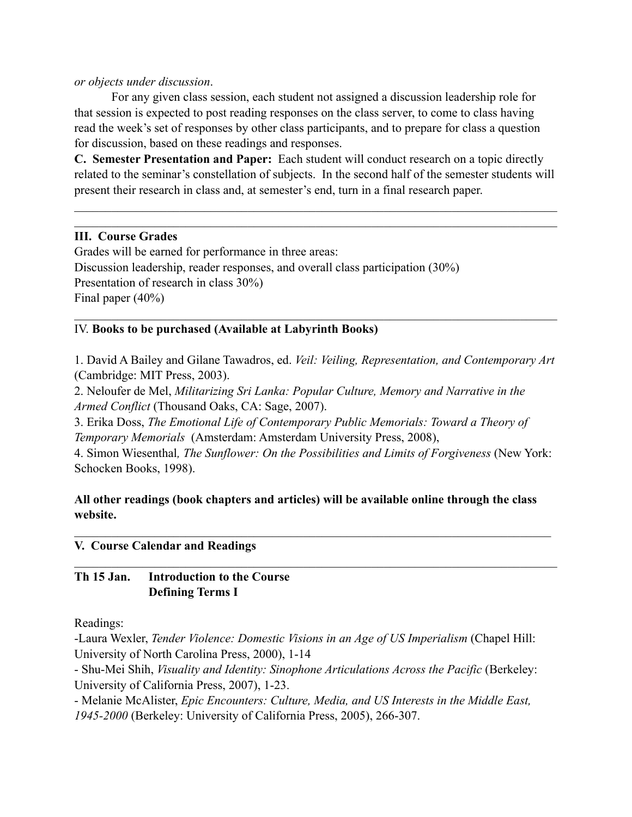### *or objects under discussion*.

 For any given class session, each student not assigned a discussion leadership role for that session is expected to post reading responses on the class server, to come to class having read the week's set of responses by other class participants, and to prepare for class a question for discussion, based on these readings and responses.

**C. Semester Presentation and Paper:** Each student will conduct research on a topic directly related to the seminar's constellation of subjects. In the second half of the semester students will present their research in class and, at semester's end, turn in a final research paper.

 $\mathcal{L}_\mathcal{L} = \{ \mathcal{L}_\mathcal{L} = \{ \mathcal{L}_\mathcal{L} = \{ \mathcal{L}_\mathcal{L} = \{ \mathcal{L}_\mathcal{L} = \{ \mathcal{L}_\mathcal{L} = \{ \mathcal{L}_\mathcal{L} = \{ \mathcal{L}_\mathcal{L} = \{ \mathcal{L}_\mathcal{L} = \{ \mathcal{L}_\mathcal{L} = \{ \mathcal{L}_\mathcal{L} = \{ \mathcal{L}_\mathcal{L} = \{ \mathcal{L}_\mathcal{L} = \{ \mathcal{L}_\mathcal{L} = \{ \mathcal{L}_\mathcal{$  $\mathcal{L}_\mathcal{L} = \{ \mathcal{L}_\mathcal{L} = \{ \mathcal{L}_\mathcal{L} = \{ \mathcal{L}_\mathcal{L} = \{ \mathcal{L}_\mathcal{L} = \{ \mathcal{L}_\mathcal{L} = \{ \mathcal{L}_\mathcal{L} = \{ \mathcal{L}_\mathcal{L} = \{ \mathcal{L}_\mathcal{L} = \{ \mathcal{L}_\mathcal{L} = \{ \mathcal{L}_\mathcal{L} = \{ \mathcal{L}_\mathcal{L} = \{ \mathcal{L}_\mathcal{L} = \{ \mathcal{L}_\mathcal{L} = \{ \mathcal{L}_\mathcal{$ 

# **III. Course Grades**

Grades will be earned for performance in three areas: Discussion leadership, reader responses, and overall class participation (30%) Presentation of research in class 30%) Final paper (40%)

# IV. **Books to be purchased (Available at Labyrinth Books)**

1. David A Bailey and Gilane Tawadros, ed. *Veil: Veiling, Representation, and Contemporary Art* (Cambridge: MIT Press, 2003).

 $\mathcal{L}_\mathcal{L} = \{ \mathcal{L}_\mathcal{L} = \{ \mathcal{L}_\mathcal{L} = \{ \mathcal{L}_\mathcal{L} = \{ \mathcal{L}_\mathcal{L} = \{ \mathcal{L}_\mathcal{L} = \{ \mathcal{L}_\mathcal{L} = \{ \mathcal{L}_\mathcal{L} = \{ \mathcal{L}_\mathcal{L} = \{ \mathcal{L}_\mathcal{L} = \{ \mathcal{L}_\mathcal{L} = \{ \mathcal{L}_\mathcal{L} = \{ \mathcal{L}_\mathcal{L} = \{ \mathcal{L}_\mathcal{L} = \{ \mathcal{L}_\mathcal{$ 

2. Neloufer de Mel, *Militarizing Sri Lanka: Popular Culture, Memory and Narrative in the Armed Conflict* (Thousand Oaks, CA: Sage, 2007).

3. Erika Doss, *The Emotional Life of Contemporary Public Memorials: Toward a Theory of Temporary Memorials* (Amsterdam: Amsterdam University Press, 2008),

4. Simon Wiesenthal*, The Sunflower: On the Possibilities and Limits of Forgiveness* (New York: Schocken Books, 1998).

# **All other readings (book chapters and articles) will be available online through the class website.**

 $\mathcal{L}_\mathcal{L} = \{ \mathcal{L}_\mathcal{L} = \{ \mathcal{L}_\mathcal{L} = \{ \mathcal{L}_\mathcal{L} = \{ \mathcal{L}_\mathcal{L} = \{ \mathcal{L}_\mathcal{L} = \{ \mathcal{L}_\mathcal{L} = \{ \mathcal{L}_\mathcal{L} = \{ \mathcal{L}_\mathcal{L} = \{ \mathcal{L}_\mathcal{L} = \{ \mathcal{L}_\mathcal{L} = \{ \mathcal{L}_\mathcal{L} = \{ \mathcal{L}_\mathcal{L} = \{ \mathcal{L}_\mathcal{L} = \{ \mathcal{L}_\mathcal{$ 

 $\mathcal{L}_\mathcal{L} = \{ \mathcal{L}_\mathcal{L} = \{ \mathcal{L}_\mathcal{L} = \{ \mathcal{L}_\mathcal{L} = \{ \mathcal{L}_\mathcal{L} = \{ \mathcal{L}_\mathcal{L} = \{ \mathcal{L}_\mathcal{L} = \{ \mathcal{L}_\mathcal{L} = \{ \mathcal{L}_\mathcal{L} = \{ \mathcal{L}_\mathcal{L} = \{ \mathcal{L}_\mathcal{L} = \{ \mathcal{L}_\mathcal{L} = \{ \mathcal{L}_\mathcal{L} = \{ \mathcal{L}_\mathcal{L} = \{ \mathcal{L}_\mathcal{$ 

## **V. Course Calendar and Readings**

## **Th 15 Jan. Introduction to the Course Defining Terms I**

Readings:

-Laura Wexler, *Tender Violence: Domestic Visions in an Age of US Imperialism* (Chapel Hill: University of North Carolina Press, 2000), 1-14

- Shu-Mei Shih, *Visuality and Identity: Sinophone Articulations Across the Pacific* (Berkeley: University of California Press, 2007), 1-23.

- Melanie McAlister, *Epic Encounters: Culture, Media, and US Interests in the Middle East, 1945-2000* (Berkeley: University of California Press, 2005), 266-307.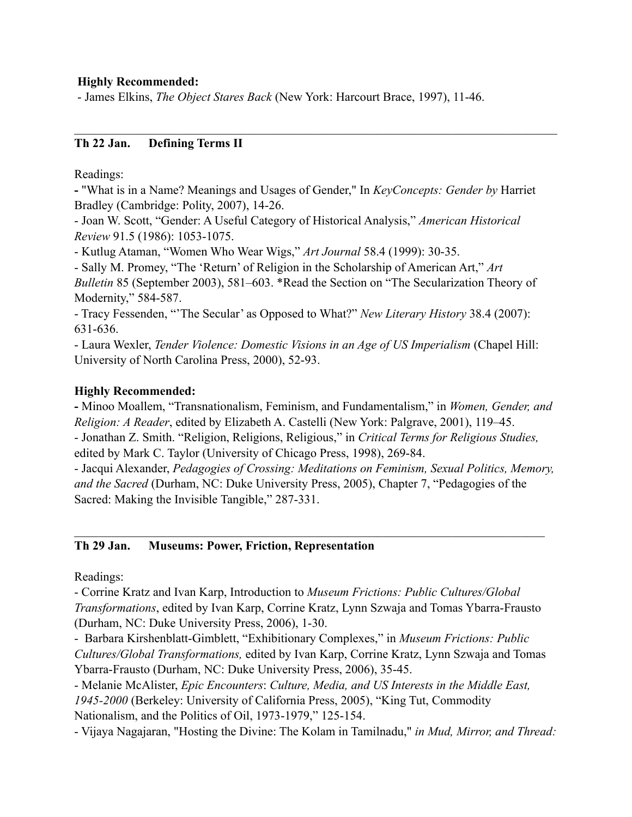### **Highly Recommended:**

- James Elkins, *The Object Stares Back* (New York: Harcourt Brace, 1997), 11-46.

## **Th 22 Jan. Defining Terms II**

Readings:

**-** "What is in a Name? Meanings and Usages of Gender," In *KeyConcepts: Gender by* Harriet Bradley (Cambridge: Polity, 2007), 14-26.

 $\mathcal{L}_\mathcal{L} = \{ \mathcal{L}_\mathcal{L} = \{ \mathcal{L}_\mathcal{L} = \{ \mathcal{L}_\mathcal{L} = \{ \mathcal{L}_\mathcal{L} = \{ \mathcal{L}_\mathcal{L} = \{ \mathcal{L}_\mathcal{L} = \{ \mathcal{L}_\mathcal{L} = \{ \mathcal{L}_\mathcal{L} = \{ \mathcal{L}_\mathcal{L} = \{ \mathcal{L}_\mathcal{L} = \{ \mathcal{L}_\mathcal{L} = \{ \mathcal{L}_\mathcal{L} = \{ \mathcal{L}_\mathcal{L} = \{ \mathcal{L}_\mathcal{$ 

- Joan W. Scott, "Gender: A Useful Category of Historical Analysis," *American Historical Review* 91.5 (1986): 1053-1075.

- Kutlug Ataman, "Women Who Wear Wigs," *Art Journal* 58.4 (1999): 30-35.

- Sally M. Promey, "The 'Return' of Religion in the Scholarship of American Art," *Art Bulletin* 85 (September 2003), 581–603. \*Read the Section on "The Secularization Theory of Modernity," 584-587.

- Tracy Fessenden, "'The Secular' as Opposed to What?" *New Literary History* 38.4 (2007): 631-636.

- Laura Wexler, *Tender Violence: Domestic Visions in an Age of US Imperialism* (Chapel Hill: University of North Carolina Press, 2000), 52-93.

### **Highly Recommended:**

**-** Minoo Moallem, "Transnationalism, Feminism, and Fundamentalism," in *Women, Gender, and Religion: A Reader*, edited by Elizabeth A. Castelli (New York: Palgrave, 2001), 119–45. - Jonathan Z. Smith. "Religion, Religions, Religious," in *Critical Terms for Religious Studies,*  edited by Mark C. Taylor (University of Chicago Press, 1998), 269-84.

- Jacqui Alexander, *Pedagogies of Crossing: Meditations on Feminism, Sexual Politics, Memory, and the Sacred* (Durham, NC: Duke University Press, 2005), Chapter 7, "Pedagogies of the Sacred: Making the Invisible Tangible," 287-331.

 $\mathcal{L}_\text{max}$  , and the contribution of the contribution of the contribution of the contribution of the contribution of the contribution of the contribution of the contribution of the contribution of the contribution of t

#### **Th 29 Jan. Museums: Power, Friction, Representation**

Readings:

- Corrine Kratz and Ivan Karp, Introduction to *Museum Frictions: Public Cultures/Global Transformations*, edited by Ivan Karp, Corrine Kratz, Lynn Szwaja and Tomas Ybarra-Frausto (Durham, NC: Duke University Press, 2006), 1-30.

- Barbara Kirshenblatt-Gimblett, "Exhibitionary Complexes," in *Museum Frictions: Public Cultures/Global Transformations,* edited by Ivan Karp, Corrine Kratz, Lynn Szwaja and Tomas Ybarra-Frausto (Durham, NC: Duke University Press, 2006), 35-45.

- Melanie McAlister, *Epic Encounters*: *Culture, Media, and US Interests in the Middle East, 1945-2000* (Berkeley: University of California Press, 2005), "King Tut, Commodity Nationalism, and the Politics of Oil, 1973-1979," 125-154.

- Vijaya Nagajaran, "Hosting the Divine: The Kolam in Tamilnadu," *in Mud, Mirror, and Thread:*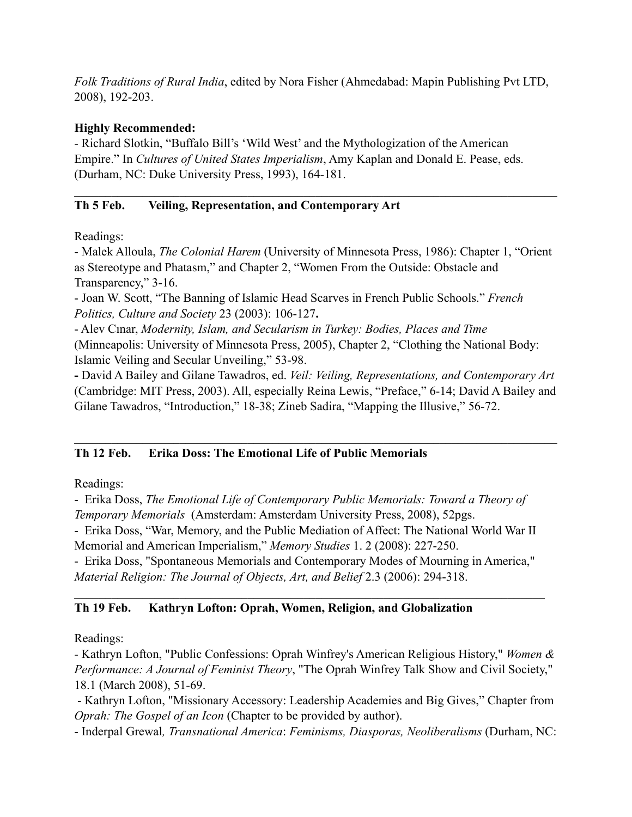*Folk Traditions of Rural India*, edited by Nora Fisher (Ahmedabad: Mapin Publishing Pvt LTD, 2008), 192-203.

## **Highly Recommended:**

- Richard Slotkin, "Buffalo Bill's 'Wild West' and the Mythologization of the American Empire." In *Cultures of United States Imperialism*, Amy Kaplan and Donald E. Pease, eds. (Durham, NC: Duke University Press, 1993), 164-181.

# **Th 5 Feb. Veiling, Representation, and Contemporary Art**

Readings:

- Malek Alloula, *The Colonial Harem* (University of Minnesota Press, 1986): Chapter 1, "Orient as Stereotype and Phatasm," and Chapter 2, "Women From the Outside: Obstacle and Transparency," 3-16.

 $\mathcal{L}_\mathcal{L} = \{ \mathcal{L}_\mathcal{L} = \{ \mathcal{L}_\mathcal{L} = \{ \mathcal{L}_\mathcal{L} = \{ \mathcal{L}_\mathcal{L} = \{ \mathcal{L}_\mathcal{L} = \{ \mathcal{L}_\mathcal{L} = \{ \mathcal{L}_\mathcal{L} = \{ \mathcal{L}_\mathcal{L} = \{ \mathcal{L}_\mathcal{L} = \{ \mathcal{L}_\mathcal{L} = \{ \mathcal{L}_\mathcal{L} = \{ \mathcal{L}_\mathcal{L} = \{ \mathcal{L}_\mathcal{L} = \{ \mathcal{L}_\mathcal{$ 

- Joan W. Scott, "The Banning of Islamic Head Scarves in French Public Schools." *French Politics, Culture and Society* 23 (2003): 106-127**.**

- Alev Cınar, *Modernity, Islam, and Secularism in Turkey: Bodies, Places and Time*  (Minneapolis: University of Minnesota Press, 2005), Chapter 2, "Clothing the National Body: Islamic Veiling and Secular Unveiling," 53-98.

**-** David A Bailey and Gilane Tawadros, ed. *Veil: Veiling, Representations, and Contemporary Art* (Cambridge: MIT Press, 2003). All, especially Reina Lewis, "Preface," 6-14; David A Bailey and Gilane Tawadros, "Introduction," 18-38; Zineb Sadira, "Mapping the Illusive," 56-72.

 $\mathcal{L}_\mathcal{L} = \{ \mathcal{L}_\mathcal{L} = \{ \mathcal{L}_\mathcal{L} = \{ \mathcal{L}_\mathcal{L} = \{ \mathcal{L}_\mathcal{L} = \{ \mathcal{L}_\mathcal{L} = \{ \mathcal{L}_\mathcal{L} = \{ \mathcal{L}_\mathcal{L} = \{ \mathcal{L}_\mathcal{L} = \{ \mathcal{L}_\mathcal{L} = \{ \mathcal{L}_\mathcal{L} = \{ \mathcal{L}_\mathcal{L} = \{ \mathcal{L}_\mathcal{L} = \{ \mathcal{L}_\mathcal{L} = \{ \mathcal{L}_\mathcal{$ 

# **Th 12 Feb. Erika Doss: The Emotional Life of Public Memorials**

Readings:

- Erika Doss, *The Emotional Life of Contemporary Public Memorials: Toward a Theory of Temporary Memorials* (Amsterdam: Amsterdam University Press, 2008), 52pgs.

- Erika Doss, "War, Memory, and the Public Mediation of Affect: The National World War II Memorial and American Imperialism," *Memory Studies* 1. 2 (2008): 227-250.

- Erika Doss, "Spontaneous Memorials and Contemporary Modes of Mourning in America," *Material Religion: The Journal of Objects, Art, and Belief* 2.3 (2006): 294-318.

 $\mathcal{L}_\text{max}$  , and the contribution of the contribution of the contribution of the contribution of the contribution of the contribution of the contribution of the contribution of the contribution of the contribution of t

# **Th 19 Feb. Kathryn Lofton: Oprah, Women, Religion, and Globalization**

Readings:

- Kathryn Lofton, "Public Confessions: Oprah Winfrey's American Religious History," *Women & Performance: A Journal of Feminist Theory*, "The Oprah Winfrey Talk Show and Civil Society," 18.1 (March 2008), 51-69.

 - Kathryn Lofton, "Missionary Accessory: Leadership Academies and Big Gives," Chapter from *Oprah: The Gospel of an Icon* (Chapter to be provided by author).

- Inderpal Grewal*, Transnational America*: *Feminisms, Diasporas, Neoliberalisms* (Durham, NC: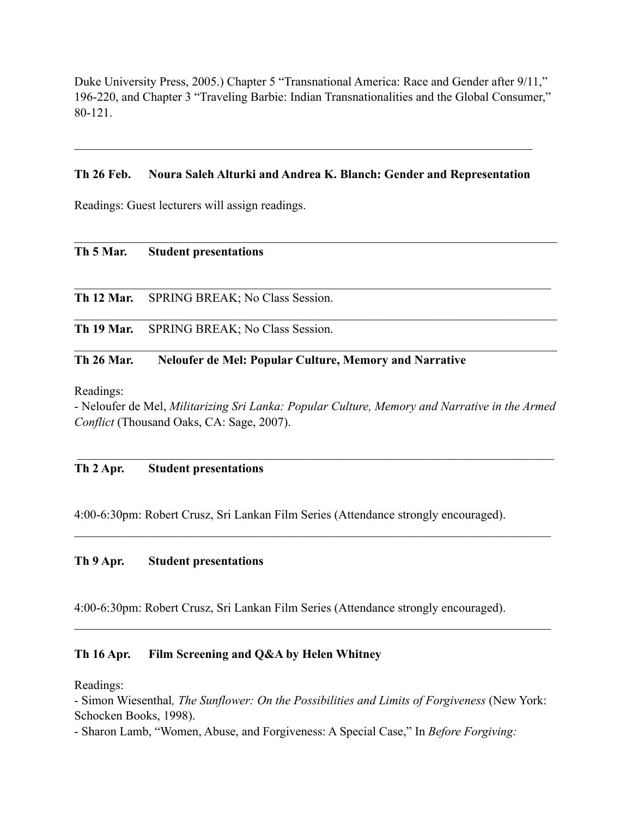Duke University Press, 2005.) Chapter 5 "Transnational America: Race and Gender after 9/11," 196-220, and Chapter 3 "Traveling Barbie: Indian Transnationalities and the Global Consumer," 80-121.

#### **Th 26 Feb. Noura Saleh Alturki and Andrea K. Blanch: Gender and Representation**

 $\mathcal{L}_\mathcal{L} = \{ \mathcal{L}_\mathcal{L} = \{ \mathcal{L}_\mathcal{L} = \{ \mathcal{L}_\mathcal{L} = \{ \mathcal{L}_\mathcal{L} = \{ \mathcal{L}_\mathcal{L} = \{ \mathcal{L}_\mathcal{L} = \{ \mathcal{L}_\mathcal{L} = \{ \mathcal{L}_\mathcal{L} = \{ \mathcal{L}_\mathcal{L} = \{ \mathcal{L}_\mathcal{L} = \{ \mathcal{L}_\mathcal{L} = \{ \mathcal{L}_\mathcal{L} = \{ \mathcal{L}_\mathcal{L} = \{ \mathcal{L}_\mathcal{$ 

 $\mathcal{L}_\mathcal{L} = \{ \mathcal{L}_\mathcal{L} = \{ \mathcal{L}_\mathcal{L} = \{ \mathcal{L}_\mathcal{L} = \{ \mathcal{L}_\mathcal{L} = \{ \mathcal{L}_\mathcal{L} = \{ \mathcal{L}_\mathcal{L} = \{ \mathcal{L}_\mathcal{L} = \{ \mathcal{L}_\mathcal{L} = \{ \mathcal{L}_\mathcal{L} = \{ \mathcal{L}_\mathcal{L} = \{ \mathcal{L}_\mathcal{L} = \{ \mathcal{L}_\mathcal{L} = \{ \mathcal{L}_\mathcal{L} = \{ \mathcal{L}_\mathcal{$ 

 $\mathcal{L}_\mathcal{L} = \{ \mathcal{L}_\mathcal{L} = \{ \mathcal{L}_\mathcal{L} = \{ \mathcal{L}_\mathcal{L} = \{ \mathcal{L}_\mathcal{L} = \{ \mathcal{L}_\mathcal{L} = \{ \mathcal{L}_\mathcal{L} = \{ \mathcal{L}_\mathcal{L} = \{ \mathcal{L}_\mathcal{L} = \{ \mathcal{L}_\mathcal{L} = \{ \mathcal{L}_\mathcal{L} = \{ \mathcal{L}_\mathcal{L} = \{ \mathcal{L}_\mathcal{L} = \{ \mathcal{L}_\mathcal{L} = \{ \mathcal{L}_\mathcal{$ 

 $\mathcal{L}_\mathcal{L} = \{ \mathcal{L}_\mathcal{L} = \{ \mathcal{L}_\mathcal{L} = \{ \mathcal{L}_\mathcal{L} = \{ \mathcal{L}_\mathcal{L} = \{ \mathcal{L}_\mathcal{L} = \{ \mathcal{L}_\mathcal{L} = \{ \mathcal{L}_\mathcal{L} = \{ \mathcal{L}_\mathcal{L} = \{ \mathcal{L}_\mathcal{L} = \{ \mathcal{L}_\mathcal{L} = \{ \mathcal{L}_\mathcal{L} = \{ \mathcal{L}_\mathcal{L} = \{ \mathcal{L}_\mathcal{L} = \{ \mathcal{L}_\mathcal{$ 

 $\mathcal{L}_\text{max}$  , and the contribution of the contribution of the contribution of the contribution of the contribution of the contribution of the contribution of the contribution of the contribution of the contribution of t

Readings: Guest lecturers will assign readings.

|  |  | Th 5 Mar. |  | <b>Student presentations</b> |
|--|--|-----------|--|------------------------------|
|--|--|-----------|--|------------------------------|

**Th 12 Mar.** SPRING BREAK; No Class Session.

**Th 19 Mar.** SPRING BREAK; No Class Session.

#### **Th 26 Mar. Neloufer de Mel: Popular Culture, Memory and Narrative**

Readings:

- Neloufer de Mel, *Militarizing Sri Lanka: Popular Culture, Memory and Narrative in the Armed Conflict* (Thousand Oaks, CA: Sage, 2007).

\_\_\_\_\_\_\_\_\_\_\_\_\_\_\_\_\_\_\_\_\_\_\_\_\_\_\_\_\_\_\_\_\_\_\_\_\_\_\_\_\_\_\_\_\_\_\_\_\_\_\_\_\_\_\_\_\_\_\_\_\_\_\_\_\_\_\_\_\_\_\_\_\_\_\_\_\_

 $\mathcal{L}_\mathcal{L} = \{ \mathcal{L}_\mathcal{L} = \{ \mathcal{L}_\mathcal{L} = \{ \mathcal{L}_\mathcal{L} = \{ \mathcal{L}_\mathcal{L} = \{ \mathcal{L}_\mathcal{L} = \{ \mathcal{L}_\mathcal{L} = \{ \mathcal{L}_\mathcal{L} = \{ \mathcal{L}_\mathcal{L} = \{ \mathcal{L}_\mathcal{L} = \{ \mathcal{L}_\mathcal{L} = \{ \mathcal{L}_\mathcal{L} = \{ \mathcal{L}_\mathcal{L} = \{ \mathcal{L}_\mathcal{L} = \{ \mathcal{L}_\mathcal{$ 

 $\mathcal{L}_\mathcal{L} = \{ \mathcal{L}_\mathcal{L} = \{ \mathcal{L}_\mathcal{L} = \{ \mathcal{L}_\mathcal{L} = \{ \mathcal{L}_\mathcal{L} = \{ \mathcal{L}_\mathcal{L} = \{ \mathcal{L}_\mathcal{L} = \{ \mathcal{L}_\mathcal{L} = \{ \mathcal{L}_\mathcal{L} = \{ \mathcal{L}_\mathcal{L} = \{ \mathcal{L}_\mathcal{L} = \{ \mathcal{L}_\mathcal{L} = \{ \mathcal{L}_\mathcal{L} = \{ \mathcal{L}_\mathcal{L} = \{ \mathcal{L}_\mathcal{$ 

#### **Th 2 Apr. Student presentations**

4:00-6:30pm: Robert Crusz, Sri Lankan Film Series (Attendance strongly encouraged).

#### **Th 9 Apr. Student presentations**

4:00-6:30pm: Robert Crusz, Sri Lankan Film Series (Attendance strongly encouraged).

#### **Th 16 Apr. Film Screening and Q&A by Helen Whitney**

Readings:

- Simon Wiesenthal*, The Sunflower: On the Possibilities and Limits of Forgiveness* (New York: Schocken Books, 1998).

- Sharon Lamb, "Women, Abuse, and Forgiveness: A Special Case," In *Before Forgiving:*